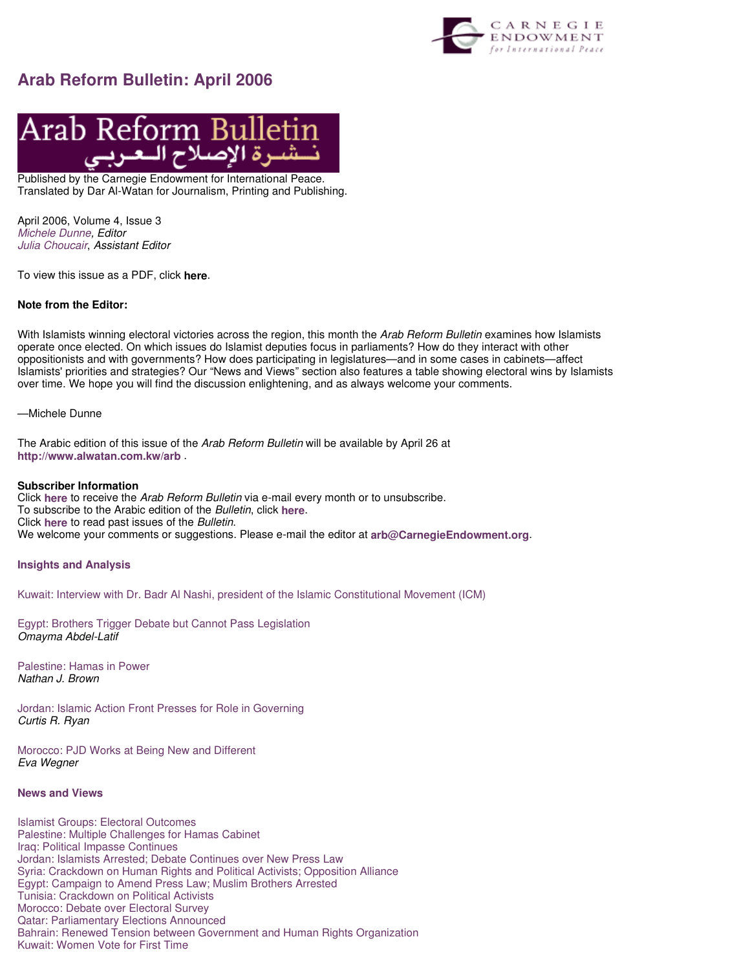

# **Arab Reform Bulletin: April 2006**



Published by the Carnegie Endowment for International Peace. Translated by Dar Al-Watan for Journalism, Printing and Publishing.

April 2006, Volume 4, Issue 3 Michele Dunne, Editor Julia Choucair, Assistant Editor

To view this issue as a PDF, click **here**.

# **Note from the Editor:**

With Islamists winning electoral victories across the region, this month the Arab Reform Bulletin examines how Islamists operate once elected. On which issues do Islamist deputies focus in parliaments? How do they interact with other oppositionists and with governments? How does participating in legislatures—and in some cases in cabinets—affect Islamists' priorities and strategies? Our "News and Views" section also features a table showing electoral wins by Islamists over time. We hope you will find the discussion enlightening, and as always welcome your comments.

—Michele Dunne

The Arabic edition of this issue of the Arab Reform Bulletin will be available by April 26 at **http://www.alwatan.com.kw/arb** .

# **Subscriber Information**

Click **here** to receive the Arab Reform Bulletin via e-mail every month or to unsubscribe. To subscribe to the Arabic edition of the Bulletin, click **here**. Click **here** to read past issues of the Bulletin. We welcome your comments or suggestions. Please e-mail the editor at **arb@CarnegieEndowment.org**.

# **Insights and Analysis**

Kuwait: Interview with Dr. Badr Al Nashi, president of the Islamic Constitutional Movement (ICM)

Egypt: Brothers Trigger Debate but Cannot Pass Legislation Omayma Abdel-Latif

Palestine: Hamas in Power Nathan J. Brown

Jordan: Islamic Action Front Presses for Role in Governing Curtis R. Ryan

Morocco: PJD Works at Being New and Different Eva Wegner

# **News and Views**

Islamist Groups: Electoral Outcomes Palestine: Multiple Challenges for Hamas Cabinet Iraq: Political Impasse Continues Jordan: Islamists Arrested; Debate Continues over New Press Law Syria: Crackdown on Human Rights and Political Activists; Opposition Alliance Egypt: Campaign to Amend Press Law; Muslim Brothers Arrested Tunisia: Crackdown on Political Activists Morocco: Debate over Electoral Survey Qatar: Parliamentary Elections Announced Bahrain: Renewed Tension between Government and Human Rights Organization Kuwait: Women Vote for First Time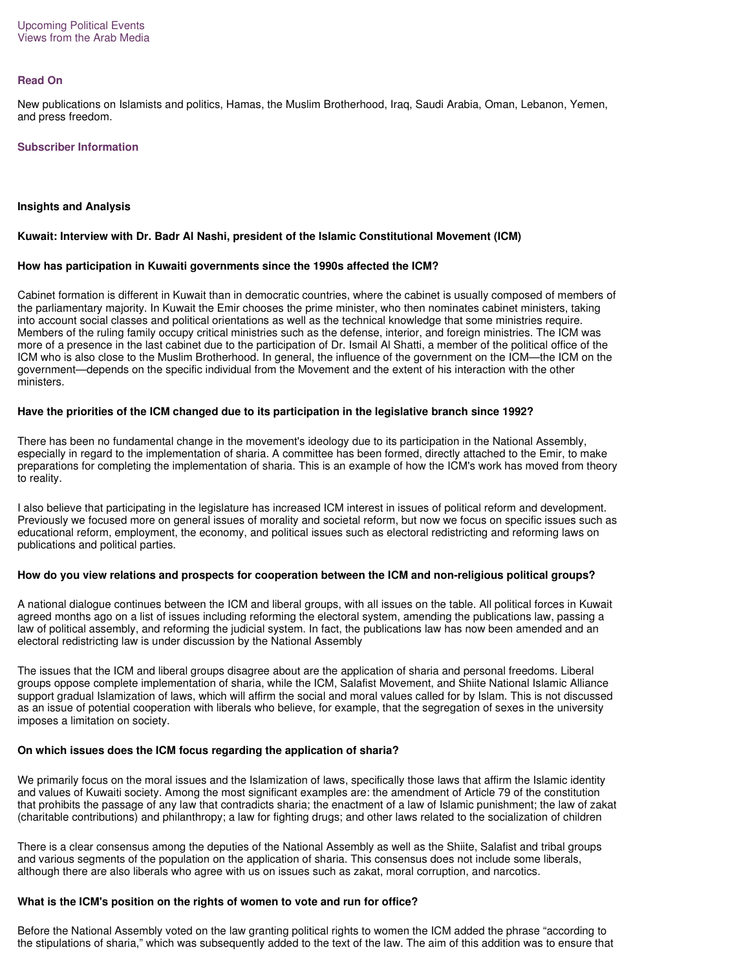#### **Read On**

New publications on Islamists and politics, Hamas, the Muslim Brotherhood, Iraq, Saudi Arabia, Oman, Lebanon, Yemen, and press freedom.

#### **Subscriber Information**

# **Insights and Analysis**

# **Kuwait: Interview with Dr. Badr Al Nashi, president of the Islamic Constitutional Movement (ICM)**

# **How has participation in Kuwaiti governments since the 1990s affected the ICM?**

Cabinet formation is different in Kuwait than in democratic countries, where the cabinet is usually composed of members of the parliamentary majority. In Kuwait the Emir chooses the prime minister, who then nominates cabinet ministers, taking into account social classes and political orientations as well as the technical knowledge that some ministries require. Members of the ruling family occupy critical ministries such as the defense, interior, and foreign ministries. The ICM was more of a presence in the last cabinet due to the participation of Dr. Ismail Al Shatti, a member of the political office of the ICM who is also close to the Muslim Brotherhood. In general, the influence of the government on the ICM—the ICM on the government—depends on the specific individual from the Movement and the extent of his interaction with the other ministers.

# **Have the priorities of the ICM changed due to its participation in the legislative branch since 1992?**

There has been no fundamental change in the movement's ideology due to its participation in the National Assembly, especially in regard to the implementation of sharia. A committee has been formed, directly attached to the Emir, to make preparations for completing the implementation of sharia. This is an example of how the ICM's work has moved from theory to reality.

I also believe that participating in the legislature has increased ICM interest in issues of political reform and development. Previously we focused more on general issues of morality and societal reform, but now we focus on specific issues such as educational reform, employment, the economy, and political issues such as electoral redistricting and reforming laws on publications and political parties.

#### **How do you view relations and prospects for cooperation between the ICM and non-religious political groups?**

A national dialogue continues between the ICM and liberal groups, with all issues on the table. All political forces in Kuwait agreed months ago on a list of issues including reforming the electoral system, amending the publications law, passing a law of political assembly, and reforming the judicial system. In fact, the publications law has now been amended and an electoral redistricting law is under discussion by the National Assembly

The issues that the ICM and liberal groups disagree about are the application of sharia and personal freedoms. Liberal groups oppose complete implementation of sharia, while the ICM, Salafist Movement, and Shiite National Islamic Alliance support gradual Islamization of laws, which will affirm the social and moral values called for by Islam. This is not discussed as an issue of potential cooperation with liberals who believe, for example, that the segregation of sexes in the university imposes a limitation on society.

# **On which issues does the ICM focus regarding the application of sharia?**

We primarily focus on the moral issues and the Islamization of laws, specifically those laws that affirm the Islamic identity and values of Kuwaiti society. Among the most significant examples are: the amendment of Article 79 of the constitution that prohibits the passage of any law that contradicts sharia; the enactment of a law of Islamic punishment; the law of zakat (charitable contributions) and philanthropy; a law for fighting drugs; and other laws related to the socialization of children

There is a clear consensus among the deputies of the National Assembly as well as the Shiite, Salafist and tribal groups and various segments of the population on the application of sharia. This consensus does not include some liberals, although there are also liberals who agree with us on issues such as zakat, moral corruption, and narcotics.

# **What is the ICM's position on the rights of women to vote and run for office?**

Before the National Assembly voted on the law granting political rights to women the ICM added the phrase "according to the stipulations of sharia," which was subsequently added to the text of the law. The aim of this addition was to ensure that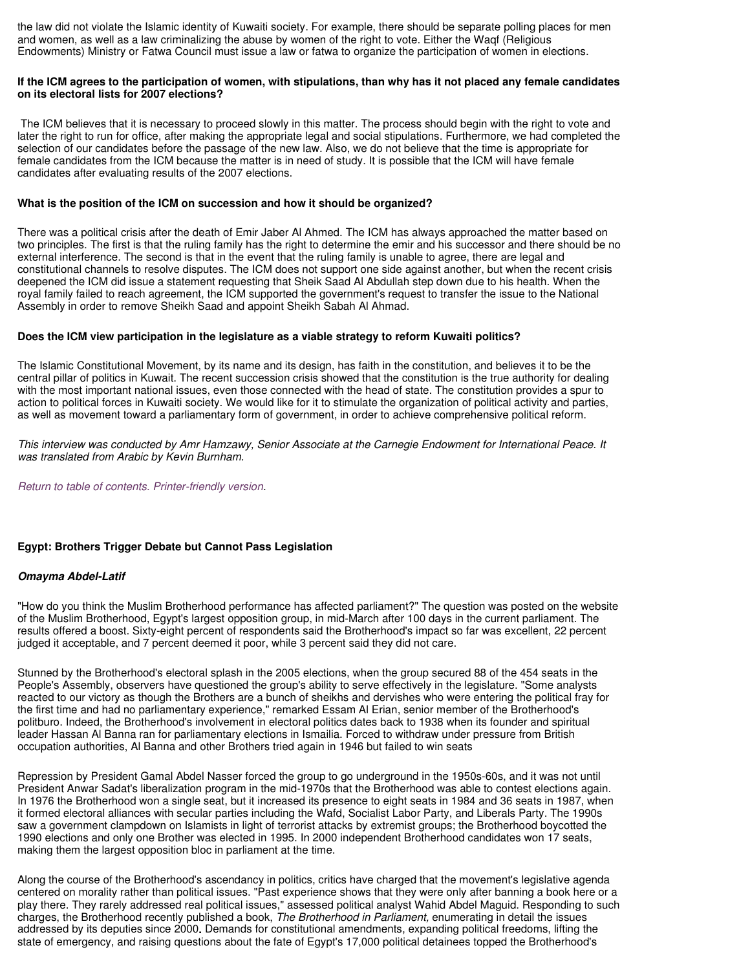the law did not violate the Islamic identity of Kuwaiti society. For example, there should be separate polling places for men and women, as well as a law criminalizing the abuse by women of the right to vote. Either the Waqf (Religious Endowments) Ministry or Fatwa Council must issue a law or fatwa to organize the participation of women in elections.

# **If the ICM agrees to the participation of women, with stipulations, than why has it not placed any female candidates on its electoral lists for 2007 elections?**

The ICM believes that it is necessary to proceed slowly in this matter. The process should begin with the right to vote and later the right to run for office, after making the appropriate legal and social stipulations. Furthermore, we had completed the selection of our candidates before the passage of the new law. Also, we do not believe that the time is appropriate for female candidates from the ICM because the matter is in need of study. It is possible that the ICM will have female candidates after evaluating results of the 2007 elections.

# **What is the position of the ICM on succession and how it should be organized?**

There was a political crisis after the death of Emir Jaber Al Ahmed. The ICM has always approached the matter based on two principles. The first is that the ruling family has the right to determine the emir and his successor and there should be no external interference. The second is that in the event that the ruling family is unable to agree, there are legal and constitutional channels to resolve disputes. The ICM does not support one side against another, but when the recent crisis deepened the ICM did issue a statement requesting that Sheik Saad Al Abdullah step down due to his health. When the royal family failed to reach agreement, the ICM supported the government's request to transfer the issue to the National Assembly in order to remove Sheikh Saad and appoint Sheikh Sabah Al Ahmad.

# **Does the ICM view participation in the legislature as a viable strategy to reform Kuwaiti politics?**

The Islamic Constitutional Movement, by its name and its design, has faith in the constitution, and believes it to be the central pillar of politics in Kuwait. The recent succession crisis showed that the constitution is the true authority for dealing with the most important national issues, even those connected with the head of state. The constitution provides a spur to action to political forces in Kuwaiti society. We would like for it to stimulate the organization of political activity and parties, as well as movement toward a parliamentary form of government, in order to achieve comprehensive political reform.

This interview was conducted by Amr Hamzawy, Senior Associate at the Carnegie Endowment for International Peace. It was translated from Arabic by Kevin Burnham.

Return to table of contents. Printer-friendly version.

# **Egypt: Brothers Trigger Debate but Cannot Pass Legislation**

#### **Omayma Abdel-Latif**

"How do you think the Muslim Brotherhood performance has affected parliament?" The question was posted on the website of the Muslim Brotherhood, Egypt's largest opposition group, in mid-March after 100 days in the current parliament. The results offered a boost. Sixty-eight percent of respondents said the Brotherhood's impact so far was excellent, 22 percent judged it acceptable, and 7 percent deemed it poor, while 3 percent said they did not care.

Stunned by the Brotherhood's electoral splash in the 2005 elections, when the group secured 88 of the 454 seats in the People's Assembly, observers have questioned the group's ability to serve effectively in the legislature. "Some analysts reacted to our victory as though the Brothers are a bunch of sheikhs and dervishes who were entering the political fray for the first time and had no parliamentary experience," remarked Essam Al Erian, senior member of the Brotherhood's politburo. Indeed, the Brotherhood's involvement in electoral politics dates back to 1938 when its founder and spiritual leader Hassan Al Banna ran for parliamentary elections in Ismailia. Forced to withdraw under pressure from British occupation authorities, Al Banna and other Brothers tried again in 1946 but failed to win seats

Repression by President Gamal Abdel Nasser forced the group to go underground in the 1950s-60s, and it was not until President Anwar Sadat's liberalization program in the mid-1970s that the Brotherhood was able to contest elections again. In 1976 the Brotherhood won a single seat, but it increased its presence to eight seats in 1984 and 36 seats in 1987, when it formed electoral alliances with secular parties including the Wafd, Socialist Labor Party, and Liberals Party. The 1990s saw a government clampdown on Islamists in light of terrorist attacks by extremist groups; the Brotherhood boycotted the 1990 elections and only one Brother was elected in 1995. In 2000 independent Brotherhood candidates won 17 seats, making them the largest opposition bloc in parliament at the time.

Along the course of the Brotherhood's ascendancy in politics, critics have charged that the movement's legislative agenda centered on morality rather than political issues. "Past experience shows that they were only after banning a book here or a play there. They rarely addressed real political issues," assessed political analyst Wahid Abdel Maguid. Responding to such charges, the Brotherhood recently published a book, The Brotherhood in Parliament, enumerating in detail the issues addressed by its deputies since 2000**.** Demands for constitutional amendments, expanding political freedoms, lifting the state of emergency, and raising questions about the fate of Egypt's 17,000 political detainees topped the Brotherhood's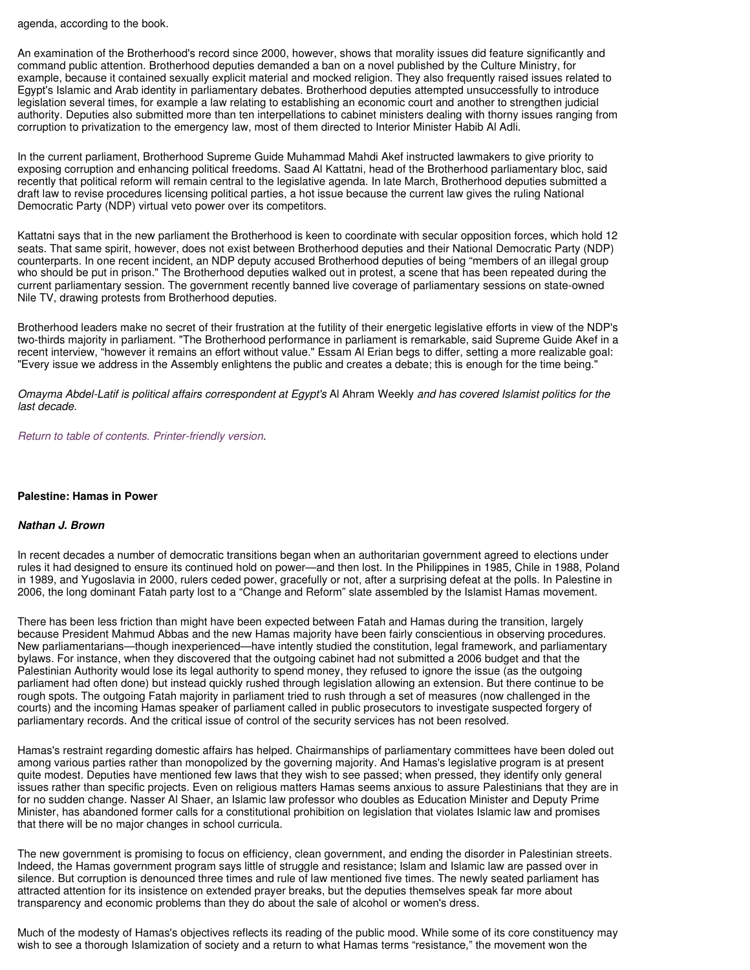agenda, according to the book.

An examination of the Brotherhood's record since 2000, however, shows that morality issues did feature significantly and command public attention. Brotherhood deputies demanded a ban on a novel published by the Culture Ministry, for example, because it contained sexually explicit material and mocked religion. They also frequently raised issues related to Egypt's Islamic and Arab identity in parliamentary debates. Brotherhood deputies attempted unsuccessfully to introduce legislation several times, for example a law relating to establishing an economic court and another to strengthen judicial authority. Deputies also submitted more than ten interpellations to cabinet ministers dealing with thorny issues ranging from corruption to privatization to the emergency law, most of them directed to Interior Minister Habib Al Adli.

In the current parliament, Brotherhood Supreme Guide Muhammad Mahdi Akef instructed lawmakers to give priority to exposing corruption and enhancing political freedoms. Saad Al Kattatni, head of the Brotherhood parliamentary bloc, said recently that political reform will remain central to the legislative agenda. In late March, Brotherhood deputies submitted a draft law to revise procedures licensing political parties, a hot issue because the current law gives the ruling National Democratic Party (NDP) virtual veto power over its competitors.

Kattatni says that in the new parliament the Brotherhood is keen to coordinate with secular opposition forces, which hold 12 seats. That same spirit, however, does not exist between Brotherhood deputies and their National Democratic Party (NDP) counterparts. In one recent incident, an NDP deputy accused Brotherhood deputies of being "members of an illegal group who should be put in prison." The Brotherhood deputies walked out in protest, a scene that has been repeated during the current parliamentary session. The government recently banned live coverage of parliamentary sessions on state-owned Nile TV, drawing protests from Brotherhood deputies.

Brotherhood leaders make no secret of their frustration at the futility of their energetic legislative efforts in view of the NDP's two-thirds majority in parliament. "The Brotherhood performance in parliament is remarkable, said Supreme Guide Akef in a recent interview, "however it remains an effort without value." Essam Al Erian begs to differ, setting a more realizable goal: "Every issue we address in the Assembly enlightens the public and creates a debate; this is enough for the time being."

Omayma Abdel-Latif is political affairs correspondent at Egypt's Al Ahram Weekly and has covered Islamist politics for the last decade.

Return to table of contents. Printer-friendly version.

#### **Palestine: Hamas in Power**

#### **Nathan J. Brown**

In recent decades a number of democratic transitions began when an authoritarian government agreed to elections under rules it had designed to ensure its continued hold on power—and then lost. In the Philippines in 1985, Chile in 1988, Poland in 1989, and Yugoslavia in 2000, rulers ceded power, gracefully or not, after a surprising defeat at the polls. In Palestine in 2006, the long dominant Fatah party lost to a "Change and Reform" slate assembled by the Islamist Hamas movement.

There has been less friction than might have been expected between Fatah and Hamas during the transition, largely because President Mahmud Abbas and the new Hamas majority have been fairly conscientious in observing procedures. New parliamentarians—though inexperienced—have intently studied the constitution, legal framework, and parliamentary bylaws. For instance, when they discovered that the outgoing cabinet had not submitted a 2006 budget and that the Palestinian Authority would lose its legal authority to spend money, they refused to ignore the issue (as the outgoing parliament had often done) but instead quickly rushed through legislation allowing an extension. But there continue to be rough spots. The outgoing Fatah majority in parliament tried to rush through a set of measures (now challenged in the courts) and the incoming Hamas speaker of parliament called in public prosecutors to investigate suspected forgery of parliamentary records. And the critical issue of control of the security services has not been resolved.

Hamas's restraint regarding domestic affairs has helped. Chairmanships of parliamentary committees have been doled out among various parties rather than monopolized by the governing majority. And Hamas's legislative program is at present quite modest. Deputies have mentioned few laws that they wish to see passed; when pressed, they identify only general issues rather than specific projects. Even on religious matters Hamas seems anxious to assure Palestinians that they are in for no sudden change. Nasser Al Shaer, an Islamic law professor who doubles as Education Minister and Deputy Prime Minister, has abandoned former calls for a constitutional prohibition on legislation that violates Islamic law and promises that there will be no major changes in school curricula.

The new government is promising to focus on efficiency, clean government, and ending the disorder in Palestinian streets. Indeed, the Hamas government program says little of struggle and resistance; Islam and Islamic law are passed over in silence. But corruption is denounced three times and rule of law mentioned five times. The newly seated parliament has attracted attention for its insistence on extended prayer breaks, but the deputies themselves speak far more about transparency and economic problems than they do about the sale of alcohol or women's dress.

Much of the modesty of Hamas's objectives reflects its reading of the public mood. While some of its core constituency may wish to see a thorough Islamization of society and a return to what Hamas terms "resistance," the movement won the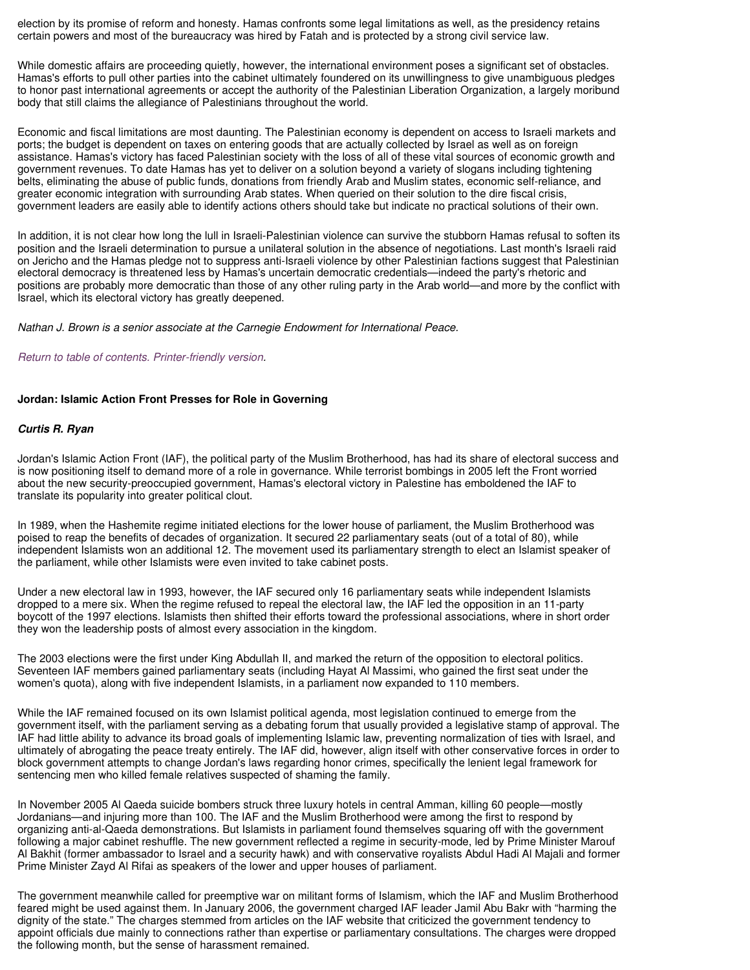election by its promise of reform and honesty. Hamas confronts some legal limitations as well, as the presidency retains certain powers and most of the bureaucracy was hired by Fatah and is protected by a strong civil service law.

While domestic affairs are proceeding quietly, however, the international environment poses a significant set of obstacles. Hamas's efforts to pull other parties into the cabinet ultimately foundered on its unwillingness to give unambiguous pledges to honor past international agreements or accept the authority of the Palestinian Liberation Organization, a largely moribund body that still claims the allegiance of Palestinians throughout the world.

Economic and fiscal limitations are most daunting. The Palestinian economy is dependent on access to Israeli markets and ports; the budget is dependent on taxes on entering goods that are actually collected by Israel as well as on foreign assistance. Hamas's victory has faced Palestinian society with the loss of all of these vital sources of economic growth and government revenues. To date Hamas has yet to deliver on a solution beyond a variety of slogans including tightening belts, eliminating the abuse of public funds, donations from friendly Arab and Muslim states, economic self-reliance, and greater economic integration with surrounding Arab states. When queried on their solution to the dire fiscal crisis, government leaders are easily able to identify actions others should take but indicate no practical solutions of their own.

In addition, it is not clear how long the lull in Israeli-Palestinian violence can survive the stubborn Hamas refusal to soften its position and the Israeli determination to pursue a unilateral solution in the absence of negotiations. Last month's Israeli raid on Jericho and the Hamas pledge not to suppress anti-Israeli violence by other Palestinian factions suggest that Palestinian electoral democracy is threatened less by Hamas's uncertain democratic credentials—indeed the party's rhetoric and positions are probably more democratic than those of any other ruling party in the Arab world—and more by the conflict with Israel, which its electoral victory has greatly deepened.

Nathan J. Brown is a senior associate at the Carnegie Endowment for International Peace.

Return to table of contents. Printer-friendly version.

# **Jordan: Islamic Action Front Presses for Role in Governing**

# **Curtis R. Ryan**

Jordan's Islamic Action Front (IAF), the political party of the Muslim Brotherhood, has had its share of electoral success and is now positioning itself to demand more of a role in governance. While terrorist bombings in 2005 left the Front worried about the new security-preoccupied government, Hamas's electoral victory in Palestine has emboldened the IAF to translate its popularity into greater political clout.

In 1989, when the Hashemite regime initiated elections for the lower house of parliament, the Muslim Brotherhood was poised to reap the benefits of decades of organization. It secured 22 parliamentary seats (out of a total of 80), while independent Islamists won an additional 12. The movement used its parliamentary strength to elect an Islamist speaker of the parliament, while other Islamists were even invited to take cabinet posts.

Under a new electoral law in 1993, however, the IAF secured only 16 parliamentary seats while independent Islamists dropped to a mere six. When the regime refused to repeal the electoral law, the IAF led the opposition in an 11-party boycott of the 1997 elections. Islamists then shifted their efforts toward the professional associations, where in short order they won the leadership posts of almost every association in the kingdom.

The 2003 elections were the first under King Abdullah II, and marked the return of the opposition to electoral politics. Seventeen IAF members gained parliamentary seats (including Hayat Al Massimi, who gained the first seat under the women's quota), along with five independent Islamists, in a parliament now expanded to 110 members.

While the IAF remained focused on its own Islamist political agenda, most legislation continued to emerge from the government itself, with the parliament serving as a debating forum that usually provided a legislative stamp of approval. The IAF had little ability to advance its broad goals of implementing Islamic law, preventing normalization of ties with Israel, and ultimately of abrogating the peace treaty entirely. The IAF did, however, align itself with other conservative forces in order to block government attempts to change Jordan's laws regarding honor crimes, specifically the lenient legal framework for sentencing men who killed female relatives suspected of shaming the family.

In November 2005 Al Qaeda suicide bombers struck three luxury hotels in central Amman, killing 60 people—mostly Jordanians—and injuring more than 100. The IAF and the Muslim Brotherhood were among the first to respond by organizing anti-al-Qaeda demonstrations. But Islamists in parliament found themselves squaring off with the government following a major cabinet reshuffle. The new government reflected a regime in security-mode, led by Prime Minister Marouf Al Bakhit (former ambassador to Israel and a security hawk) and with conservative royalists Abdul Hadi Al Majali and former Prime Minister Zayd Al Rifai as speakers of the lower and upper houses of parliament.

The government meanwhile called for preemptive war on militant forms of Islamism, which the IAF and Muslim Brotherhood feared might be used against them. In January 2006, the government charged IAF leader Jamil Abu Bakr with "harming the dignity of the state." The charges stemmed from articles on the IAF website that criticized the government tendency to appoint officials due mainly to connections rather than expertise or parliamentary consultations. The charges were dropped the following month, but the sense of harassment remained.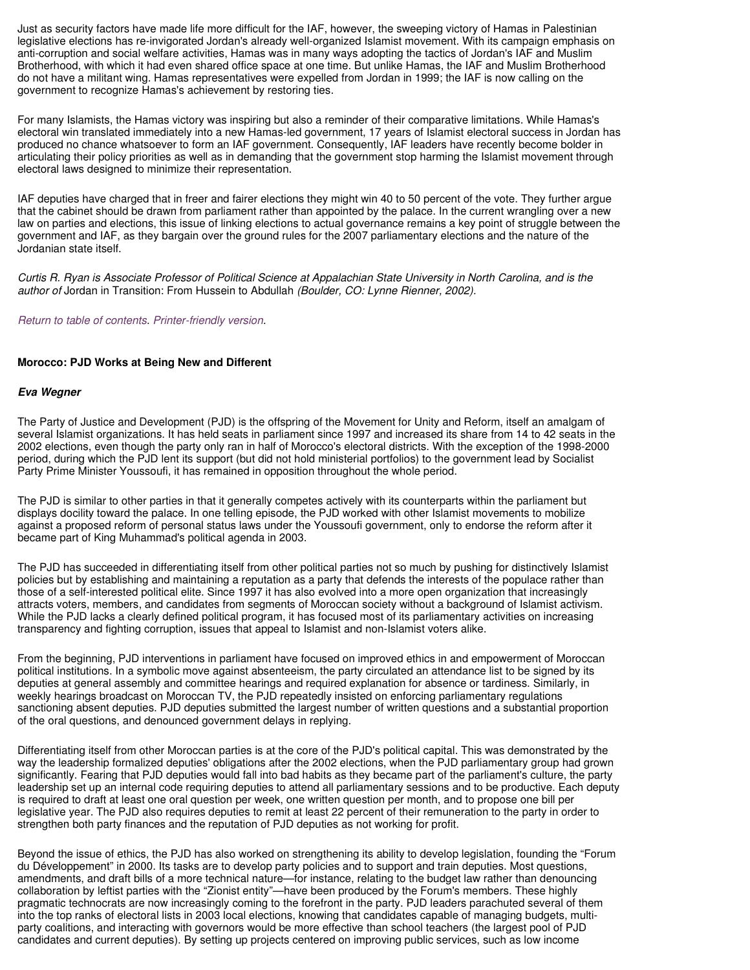Just as security factors have made life more difficult for the IAF, however, the sweeping victory of Hamas in Palestinian legislative elections has re-invigorated Jordan's already well-organized Islamist movement. With its campaign emphasis on anti-corruption and social welfare activities, Hamas was in many ways adopting the tactics of Jordan's IAF and Muslim Brotherhood, with which it had even shared office space at one time. But unlike Hamas, the IAF and Muslim Brotherhood do not have a militant wing. Hamas representatives were expelled from Jordan in 1999; the IAF is now calling on the government to recognize Hamas's achievement by restoring ties.

For many Islamists, the Hamas victory was inspiring but also a reminder of their comparative limitations. While Hamas's electoral win translated immediately into a new Hamas-led government, 17 years of Islamist electoral success in Jordan has produced no chance whatsoever to form an IAF government. Consequently, IAF leaders have recently become bolder in articulating their policy priorities as well as in demanding that the government stop harming the Islamist movement through electoral laws designed to minimize their representation.

IAF deputies have charged that in freer and fairer elections they might win 40 to 50 percent of the vote. They further argue that the cabinet should be drawn from parliament rather than appointed by the palace. In the current wrangling over a new law on parties and elections, this issue of linking elections to actual governance remains a key point of struggle between the government and IAF, as they bargain over the ground rules for the 2007 parliamentary elections and the nature of the Jordanian state itself.

Curtis R. Ryan is Associate Professor of Political Science at Appalachian State University in North Carolina, and is the author of Jordan in Transition: From Hussein to Abdullah (Boulder, CO: Lynne Rienner, 2002).

Return to table of contents. Printer-friendly version.

# **Morocco: PJD Works at Being New and Different**

# **Eva Wegner**

The Party of Justice and Development (PJD) is the offspring of the Movement for Unity and Reform, itself an amalgam of several Islamist organizations. It has held seats in parliament since 1997 and increased its share from 14 to 42 seats in the 2002 elections, even though the party only ran in half of Morocco's electoral districts. With the exception of the 1998-2000 period, during which the PJD lent its support (but did not hold ministerial portfolios) to the government lead by Socialist Party Prime Minister Youssoufi, it has remained in opposition throughout the whole period.

The PJD is similar to other parties in that it generally competes actively with its counterparts within the parliament but displays docility toward the palace. In one telling episode, the PJD worked with other Islamist movements to mobilize against a proposed reform of personal status laws under the Youssoufi government, only to endorse the reform after it became part of King Muhammad's political agenda in 2003.

The PJD has succeeded in differentiating itself from other political parties not so much by pushing for distinctively Islamist policies but by establishing and maintaining a reputation as a party that defends the interests of the populace rather than those of a self-interested political elite. Since 1997 it has also evolved into a more open organization that increasingly attracts voters, members, and candidates from segments of Moroccan society without a background of Islamist activism. While the PJD lacks a clearly defined political program, it has focused most of its parliamentary activities on increasing transparency and fighting corruption, issues that appeal to Islamist and non-Islamist voters alike.

From the beginning, PJD interventions in parliament have focused on improved ethics in and empowerment of Moroccan political institutions. In a symbolic move against absenteeism, the party circulated an attendance list to be signed by its deputies at general assembly and committee hearings and required explanation for absence or tardiness. Similarly, in weekly hearings broadcast on Moroccan TV, the PJD repeatedly insisted on enforcing parliamentary regulations sanctioning absent deputies. PJD deputies submitted the largest number of written questions and a substantial proportion of the oral questions, and denounced government delays in replying.

Differentiating itself from other Moroccan parties is at the core of the PJD's political capital. This was demonstrated by the way the leadership formalized deputies' obligations after the 2002 elections, when the PJD parliamentary group had grown significantly. Fearing that PJD deputies would fall into bad habits as they became part of the parliament's culture, the party leadership set up an internal code requiring deputies to attend all parliamentary sessions and to be productive. Each deputy is required to draft at least one oral question per week, one written question per month, and to propose one bill per legislative year. The PJD also requires deputies to remit at least 22 percent of their remuneration to the party in order to strengthen both party finances and the reputation of PJD deputies as not working for profit.

Beyond the issue of ethics, the PJD has also worked on strengthening its ability to develop legislation, founding the "Forum du Développement" in 2000. Its tasks are to develop party policies and to support and train deputies. Most questions, amendments, and draft bills of a more technical nature—for instance, relating to the budget law rather than denouncing collaboration by leftist parties with the "Zionist entity"—have been produced by the Forum's members. These highly pragmatic technocrats are now increasingly coming to the forefront in the party. PJD leaders parachuted several of them into the top ranks of electoral lists in 2003 local elections, knowing that candidates capable of managing budgets, multiparty coalitions, and interacting with governors would be more effective than school teachers (the largest pool of PJD candidates and current deputies). By setting up projects centered on improving public services, such as low income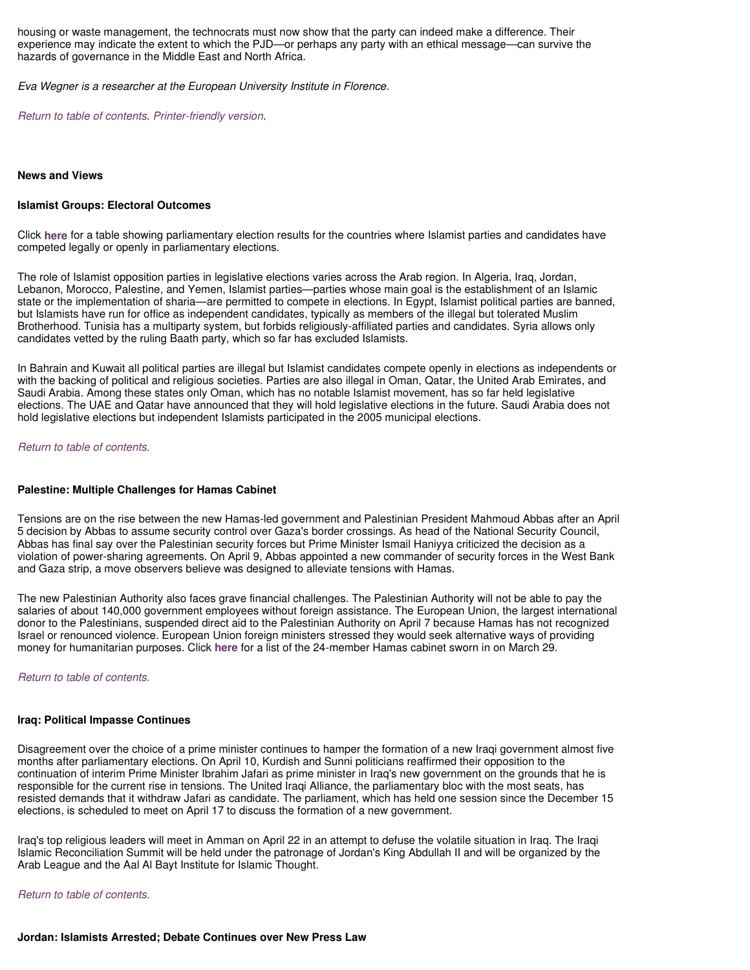housing or waste management, the technocrats must now show that the party can indeed make a difference. Their experience may indicate the extent to which the PJD—or perhaps any party with an ethical message—can survive the hazards of governance in the Middle East and North Africa.

Eva Wegner is a researcher at the European University Institute in Florence.

Return to table of contents. Printer-friendly version.

#### **News and Views**

#### **Islamist Groups: Electoral Outcomes**

Click **here** for a table showing parliamentary election results for the countries where Islamist parties and candidates have competed legally or openly in parliamentary elections.

The role of Islamist opposition parties in legislative elections varies across the Arab region. In Algeria, Iraq, Jordan, Lebanon, Morocco, Palestine, and Yemen, Islamist parties—parties whose main goal is the establishment of an Islamic state or the implementation of sharia—are permitted to compete in elections. In Egypt, Islamist political parties are banned, but Islamists have run for office as independent candidates, typically as members of the illegal but tolerated Muslim Brotherhood. Tunisia has a multiparty system, but forbids religiously-affiliated parties and candidates. Syria allows only candidates vetted by the ruling Baath party, which so far has excluded Islamists.

In Bahrain and Kuwait all political parties are illegal but Islamist candidates compete openly in elections as independents or with the backing of political and religious societies. Parties are also illegal in Oman, Qatar, the United Arab Emirates, and Saudi Arabia. Among these states only Oman, which has no notable Islamist movement, has so far held legislative elections. The UAE and Qatar have announced that they will hold legislative elections in the future. Saudi Arabia does not hold legislative elections but independent Islamists participated in the 2005 municipal elections.

Return to table of contents.

#### **Palestine: Multiple Challenges for Hamas Cabinet**

Tensions are on the rise between the new Hamas-led government and Palestinian President Mahmoud Abbas after an April 5 decision by Abbas to assume security control over Gaza's border crossings. As head of the National Security Council, Abbas has final say over the Palestinian security forces but Prime Minister Ismail Haniyya criticized the decision as a violation of power-sharing agreements. On April 9, Abbas appointed a new commander of security forces in the West Bank and Gaza strip, a move observers believe was designed to alleviate tensions with Hamas.

The new Palestinian Authority also faces grave financial challenges. The Palestinian Authority will not be able to pay the salaries of about 140,000 government employees without foreign assistance. The European Union, the largest international donor to the Palestinians, suspended direct aid to the Palestinian Authority on April 7 because Hamas has not recognized Israel or renounced violence. European Union foreign ministers stressed they would seek alternative ways of providing money for humanitarian purposes. Click **here** for a list of the 24-member Hamas cabinet sworn in on March 29.

Return to table of contents.

#### **Iraq: Political Impasse Continues**

Disagreement over the choice of a prime minister continues to hamper the formation of a new Iraqi government almost five months after parliamentary elections. On April 10, Kurdish and Sunni politicians reaffirmed their opposition to the continuation of interim Prime Minister Ibrahim Jafari as prime minister in Iraq's new government on the grounds that he is responsible for the current rise in tensions. The United Iraqi Alliance, the parliamentary bloc with the most seats, has resisted demands that it withdraw Jafari as candidate. The parliament, which has held one session since the December 15 elections, is scheduled to meet on April 17 to discuss the formation of a new government.

Iraq's top religious leaders will meet in Amman on April 22 in an attempt to defuse the volatile situation in Iraq. The Iraqi Islamic Reconciliation Summit will be held under the patronage of Jordan's King Abdullah II and will be organized by the Arab League and the Aal Al Bayt Institute for Islamic Thought.

Return to table of contents.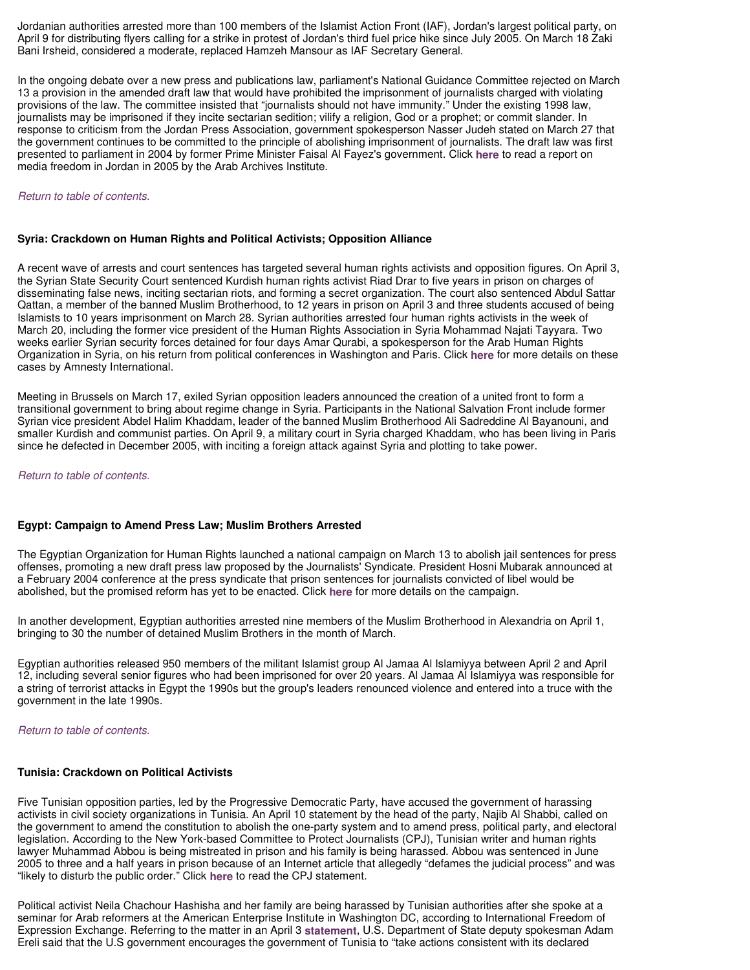Jordanian authorities arrested more than 100 members of the Islamist Action Front (IAF), Jordan's largest political party, on April 9 for distributing flyers calling for a strike in protest of Jordan's third fuel price hike since July 2005. On March 18 Zaki Bani Irsheid, considered a moderate, replaced Hamzeh Mansour as IAF Secretary General.

In the ongoing debate over a new press and publications law, parliament's National Guidance Committee rejected on March 13 a provision in the amended draft law that would have prohibited the imprisonment of journalists charged with violating provisions of the law. The committee insisted that "journalists should not have immunity." Under the existing 1998 law, journalists may be imprisoned if they incite sectarian sedition; vilify a religion, God or a prophet; or commit slander. In response to criticism from the Jordan Press Association, government spokesperson Nasser Judeh stated on March 27 that the government continues to be committed to the principle of abolishing imprisonment of journalists. The draft law was first presented to parliament in 2004 by former Prime Minister Faisal Al Fayez's government. Click **here** to read a report on media freedom in Jordan in 2005 by the Arab Archives Institute.

# Return to table of contents.

# **Syria: Crackdown on Human Rights and Political Activists; Opposition Alliance**

A recent wave of arrests and court sentences has targeted several human rights activists and opposition figures. On April 3, the Syrian State Security Court sentenced Kurdish human rights activist Riad Drar to five years in prison on charges of disseminating false news, inciting sectarian riots, and forming a secret organization. The court also sentenced Abdul Sattar Qattan, a member of the banned Muslim Brotherhood, to 12 years in prison on April 3 and three students accused of being Islamists to 10 years imprisonment on March 28. Syrian authorities arrested four human rights activists in the week of March 20, including the former vice president of the Human Rights Association in Syria Mohammad Najati Tayyara. Two weeks earlier Syrian security forces detained for four days Amar Qurabi, a spokesperson for the Arab Human Rights Organization in Syria, on his return from political conferences in Washington and Paris. Click **here** for more details on these cases by Amnesty International.

Meeting in Brussels on March 17, exiled Syrian opposition leaders announced the creation of a united front to form a transitional government to bring about regime change in Syria. Participants in the National Salvation Front include former Syrian vice president Abdel Halim Khaddam, leader of the banned Muslim Brotherhood Ali Sadreddine Al Bayanouni, and smaller Kurdish and communist parties. On April 9, a military court in Syria charged Khaddam, who has been living in Paris since he defected in December 2005, with inciting a foreign attack against Syria and plotting to take power.

Return to table of contents.

# **Egypt: Campaign to Amend Press Law; Muslim Brothers Arrested**

The Egyptian Organization for Human Rights launched a national campaign on March 13 to abolish jail sentences for press offenses, promoting a new draft press law proposed by the Journalists' Syndicate. President Hosni Mubarak announced at a February 2004 conference at the press syndicate that prison sentences for journalists convicted of libel would be abolished, but the promised reform has yet to be enacted. Click **here** for more details on the campaign.

In another development, Egyptian authorities arrested nine members of the Muslim Brotherhood in Alexandria on April 1, bringing to 30 the number of detained Muslim Brothers in the month of March.

Egyptian authorities released 950 members of the militant Islamist group Al Jamaa Al Islamiyya between April 2 and April 12, including several senior figures who had been imprisoned for over 20 years. Al Jamaa Al Islamiyya was responsible for a string of terrorist attacks in Egypt the 1990s but the group's leaders renounced violence and entered into a truce with the government in the late 1990s.

Return to table of contents.

#### **Tunisia: Crackdown on Political Activists**

Five Tunisian opposition parties, led by the Progressive Democratic Party, have accused the government of harassing activists in civil society organizations in Tunisia. An April 10 statement by the head of the party, Najib Al Shabbi, called on the government to amend the constitution to abolish the one-party system and to amend press, political party, and electoral legislation. According to the New York-based Committee to Protect Journalists (CPJ), Tunisian writer and human rights lawyer Muhammad Abbou is being mistreated in prison and his family is being harassed. Abbou was sentenced in June 2005 to three and a half years in prison because of an Internet article that allegedly "defames the judicial process" and was "likely to disturb the public order." Click **here** to read the CPJ statement.

Political activist Neila Chachour Hashisha and her family are being harassed by Tunisian authorities after she spoke at a seminar for Arab reformers at the American Enterprise Institute in Washington DC, according to International Freedom of Expression Exchange. Referring to the matter in an April 3 **statement**, U.S. Department of State deputy spokesman Adam Ereli said that the U.S government encourages the government of Tunisia to "take actions consistent with its declared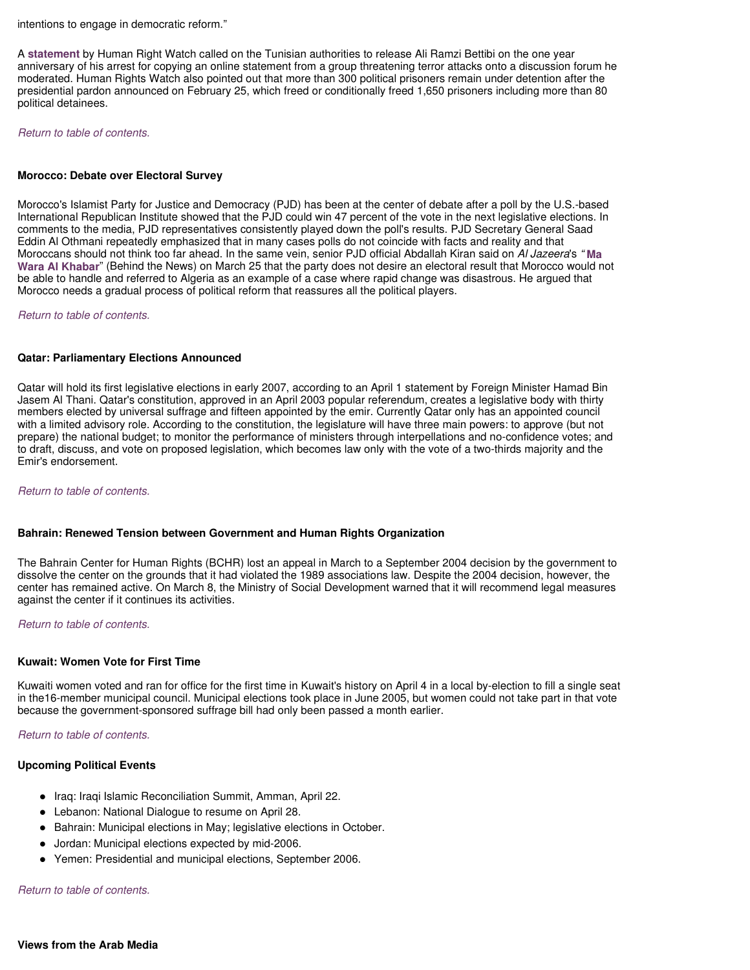intentions to engage in democratic reform."

A **statement** by Human Right Watch called on the Tunisian authorities to release Ali Ramzi Bettibi on the one year anniversary of his arrest for copying an online statement from a group threatening terror attacks onto a discussion forum he moderated. Human Rights Watch also pointed out that more than 300 political prisoners remain under detention after the presidential pardon announced on February 25, which freed or conditionally freed 1,650 prisoners including more than 80 political detainees.

Return to table of contents.

# **Morocco: Debate over Electoral Survey**

Morocco's Islamist Party for Justice and Democracy (PJD) has been at the center of debate after a poll by the U.S.-based International Republican Institute showed that the PJD could win 47 percent of the vote in the next legislative elections. In comments to the media, PJD representatives consistently played down the poll's results. PJD Secretary General Saad Eddin Al Othmani repeatedly emphasized that in many cases polls do not coincide with facts and reality and that Moroccans should not think too far ahead. In the same vein, senior PJD official Abdallah Kiran said on Al Jazeera's " **Ma Wara Al Khabar**" (Behind the News) on March 25 that the party does not desire an electoral result that Morocco would not be able to handle and referred to Algeria as an example of a case where rapid change was disastrous. He argued that Morocco needs a gradual process of political reform that reassures all the political players.

Return to table of contents.

# **Qatar: Parliamentary Elections Announced**

Qatar will hold its first legislative elections in early 2007, according to an April 1 statement by Foreign Minister Hamad Bin Jasem Al Thani. Qatar's constitution, approved in an April 2003 popular referendum, creates a legislative body with thirty members elected by universal suffrage and fifteen appointed by the emir. Currently Qatar only has an appointed council with a limited advisory role. According to the constitution, the legislature will have three main powers: to approve (but not prepare) the national budget; to monitor the performance of ministers through interpellations and no-confidence votes; and to draft, discuss, and vote on proposed legislation, which becomes law only with the vote of a two-thirds majority and the Emir's endorsement.

Return to table of contents.

# **Bahrain: Renewed Tension between Government and Human Rights Organization**

The Bahrain Center for Human Rights (BCHR) lost an appeal in March to a September 2004 decision by the government to dissolve the center on the grounds that it had violated the 1989 associations law. Despite the 2004 decision, however, the center has remained active. On March 8, the Ministry of Social Development warned that it will recommend legal measures against the center if it continues its activities.

Return to table of contents.

# **Kuwait: Women Vote for First Time**

Kuwaiti women voted and ran for office for the first time in Kuwait's history on April 4 in a local by-election to fill a single seat in the16-member municipal council. Municipal elections took place in June 2005, but women could not take part in that vote because the government-sponsored suffrage bill had only been passed a month earlier.

Return to table of contents.

# **Upcoming Political Events**

- Iraq: Iraqi Islamic Reconciliation Summit, Amman, April 22.
- Lebanon: National Dialogue to resume on April 28.
- Bahrain: Municipal elections in May; legislative elections in October.
- Jordan: Municipal elections expected by mid-2006.
- Yemen: Presidential and municipal elections, September 2006.

# Return to table of contents.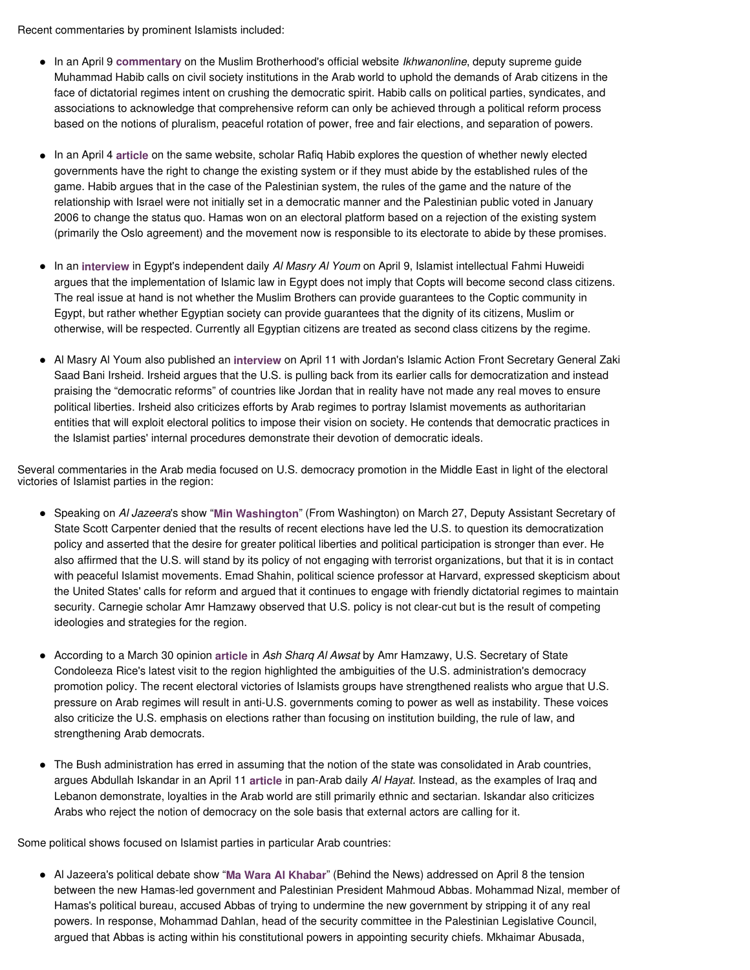Recent commentaries by prominent Islamists included:

- In an April 9 **commentary** on the Muslim Brotherhood's official website Ikhwanonline, deputy supreme guide Muhammad Habib calls on civil society institutions in the Arab world to uphold the demands of Arab citizens in the face of dictatorial regimes intent on crushing the democratic spirit. Habib calls on political parties, syndicates, and associations to acknowledge that comprehensive reform can only be achieved through a political reform process based on the notions of pluralism, peaceful rotation of power, free and fair elections, and separation of powers.
- In an April 4 **article** on the same website, scholar Rafiq Habib explores the question of whether newly elected governments have the right to change the existing system or if they must abide by the established rules of the game. Habib argues that in the case of the Palestinian system, the rules of the game and the nature of the relationship with Israel were not initially set in a democratic manner and the Palestinian public voted in January 2006 to change the status quo. Hamas won on an electoral platform based on a rejection of the existing system (primarily the Oslo agreement) and the movement now is responsible to its electorate to abide by these promises.
- In an interview in Egypt's independent daily Al Masry Al Youm on April 9, Islamist intellectual Fahmi Huweidi argues that the implementation of Islamic law in Egypt does not imply that Copts will become second class citizens. The real issue at hand is not whether the Muslim Brothers can provide guarantees to the Coptic community in Egypt, but rather whether Egyptian society can provide guarantees that the dignity of its citizens, Muslim or otherwise, will be respected. Currently all Egyptian citizens are treated as second class citizens by the regime.
- Al Masry Al Youm also published an **interview** on April 11 with Jordan's Islamic Action Front Secretary General Zaki Saad Bani Irsheid. Irsheid argues that the U.S. is pulling back from its earlier calls for democratization and instead praising the "democratic reforms" of countries like Jordan that in reality have not made any real moves to ensure political liberties. Irsheid also criticizes efforts by Arab regimes to portray Islamist movements as authoritarian entities that will exploit electoral politics to impose their vision on society. He contends that democratic practices in the Islamist parties' internal procedures demonstrate their devotion of democratic ideals.

Several commentaries in the Arab media focused on U.S. democracy promotion in the Middle East in light of the electoral victories of Islamist parties in the region:

- Speaking on Al Jazeera's show "**Min Washington**" (From Washington) on March 27, Deputy Assistant Secretary of State Scott Carpenter denied that the results of recent elections have led the U.S. to question its democratization policy and asserted that the desire for greater political liberties and political participation is stronger than ever. He also affirmed that the U.S. will stand by its policy of not engaging with terrorist organizations, but that it is in contact with peaceful Islamist movements. Emad Shahin, political science professor at Harvard, expressed skepticism about the United States' calls for reform and argued that it continues to engage with friendly dictatorial regimes to maintain security. Carnegie scholar Amr Hamzawy observed that U.S. policy is not clear-cut but is the result of competing ideologies and strategies for the region.
- According to a March 30 opinion **article** in Ash Sharq Al Awsat by Amr Hamzawy, U.S. Secretary of State Condoleeza Rice's latest visit to the region highlighted the ambiguities of the U.S. administration's democracy promotion policy. The recent electoral victories of Islamists groups have strengthened realists who argue that U.S. pressure on Arab regimes will result in anti-U.S. governments coming to power as well as instability. These voices also criticize the U.S. emphasis on elections rather than focusing on institution building, the rule of law, and strengthening Arab democrats.
- The Bush administration has erred in assuming that the notion of the state was consolidated in Arab countries, argues Abdullah Iskandar in an April 11 **article** in pan-Arab daily Al Hayat. Instead, as the examples of Iraq and Lebanon demonstrate, loyalties in the Arab world are still primarily ethnic and sectarian. Iskandar also criticizes Arabs who reject the notion of democracy on the sole basis that external actors are calling for it.

Some political shows focused on Islamist parties in particular Arab countries:

 Al Jazeera's political debate show "**Ma Wara Al Khabar**" (Behind the News) addressed on April 8 the tension between the new Hamas-led government and Palestinian President Mahmoud Abbas. Mohammad Nizal, member of Hamas's political bureau, accused Abbas of trying to undermine the new government by stripping it of any real powers. In response, Mohammad Dahlan, head of the security committee in the Palestinian Legislative Council, argued that Abbas is acting within his constitutional powers in appointing security chiefs. Mkhaimar Abusada,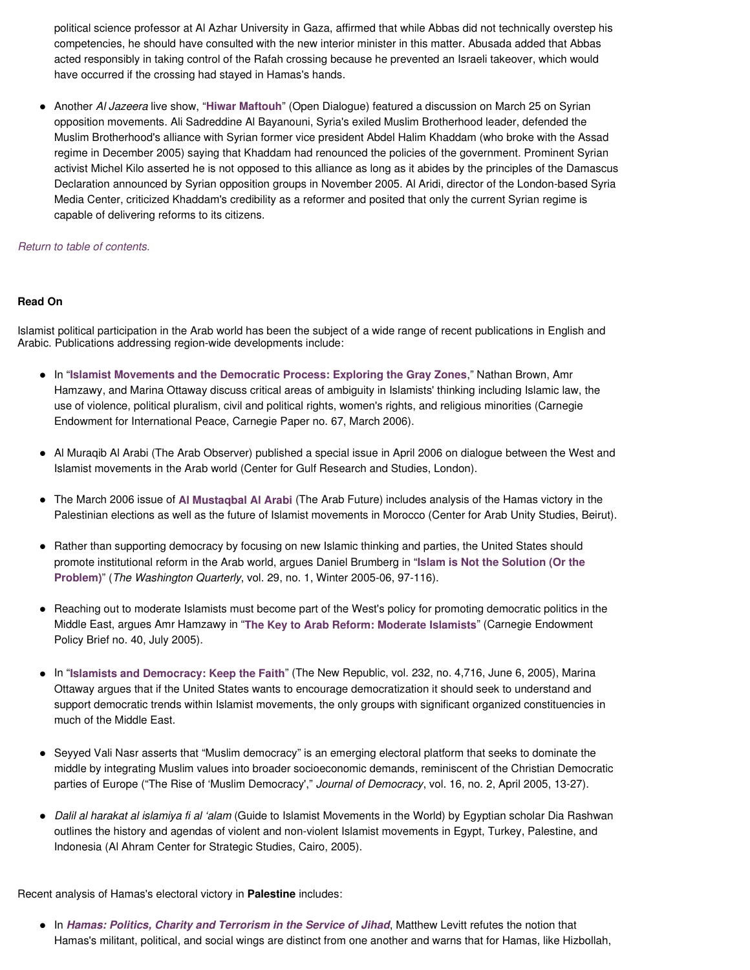political science professor at Al Azhar University in Gaza, affirmed that while Abbas did not technically overstep his competencies, he should have consulted with the new interior minister in this matter. Abusada added that Abbas acted responsibly in taking control of the Rafah crossing because he prevented an Israeli takeover, which would have occurred if the crossing had stayed in Hamas's hands.

 Another Al Jazeera live show, "**Hiwar Maftouh**" (Open Dialogue) featured a discussion on March 25 on Syrian opposition movements. Ali Sadreddine Al Bayanouni, Syria's exiled Muslim Brotherhood leader, defended the Muslim Brotherhood's alliance with Syrian former vice president Abdel Halim Khaddam (who broke with the Assad regime in December 2005) saying that Khaddam had renounced the policies of the government. Prominent Syrian activist Michel Kilo asserted he is not opposed to this alliance as long as it abides by the principles of the Damascus Declaration announced by Syrian opposition groups in November 2005. Al Aridi, director of the London-based Syria Media Center, criticized Khaddam's credibility as a reformer and posited that only the current Syrian regime is capable of delivering reforms to its citizens.

# Return to table of contents.

# **Read On**

Islamist political participation in the Arab world has been the subject of a wide range of recent publications in English and Arabic. Publications addressing region-wide developments include:

- In "**Islamist Movements and the Democratic Process: Exploring the Gray Zones**," Nathan Brown, Amr Hamzawy, and Marina Ottaway discuss critical areas of ambiguity in Islamists' thinking including Islamic law, the use of violence, political pluralism, civil and political rights, women's rights, and religious minorities (Carnegie Endowment for International Peace, Carnegie Paper no. 67, March 2006).
- Al Muraqib Al Arabi (The Arab Observer) published a special issue in April 2006 on dialogue between the West and Islamist movements in the Arab world (Center for Gulf Research and Studies, London).
- The March 2006 issue of **Al Mustaqbal Al Arabi** (The Arab Future) includes analysis of the Hamas victory in the Palestinian elections as well as the future of Islamist movements in Morocco (Center for Arab Unity Studies, Beirut).
- Rather than supporting democracy by focusing on new Islamic thinking and parties, the United States should promote institutional reform in the Arab world, argues Daniel Brumberg in "**Islam is Not the Solution (Or the Problem)**" (The Washington Quarterly, vol. 29, no. 1, Winter 2005-06, 97-116).
- Reaching out to moderate Islamists must become part of the West's policy for promoting democratic politics in the Middle East, argues Amr Hamzawy in "**The Key to Arab Reform: Moderate Islamists**" (Carnegie Endowment Policy Brief no. 40, July 2005).
- In "**Islamists and Democracy: Keep the Faith**" (The New Republic, vol. 232, no. 4,716, June 6, 2005), Marina Ottaway argues that if the United States wants to encourage democratization it should seek to understand and support democratic trends within Islamist movements, the only groups with significant organized constituencies in much of the Middle East.
- Seyyed Vali Nasr asserts that "Muslim democracy" is an emerging electoral platform that seeks to dominate the middle by integrating Muslim values into broader socioeconomic demands, reminiscent of the Christian Democratic parties of Europe ("The Rise of 'Muslim Democracy'," Journal of Democracy, vol. 16, no. 2, April 2005, 13-27).
- Dalil al harakat al islamiya fi al 'alam (Guide to Islamist Movements in the World) by Egyptian scholar Dia Rashwan outlines the history and agendas of violent and non-violent Islamist movements in Egypt, Turkey, Palestine, and Indonesia (Al Ahram Center for Strategic Studies, Cairo, 2005).

Recent analysis of Hamas's electoral victory in **Palestine** includes:

 In **Hamas: Politics, Charity and Terrorism in the Service of Jihad**, Matthew Levitt refutes the notion that Hamas's militant, political, and social wings are distinct from one another and warns that for Hamas, like Hizbollah,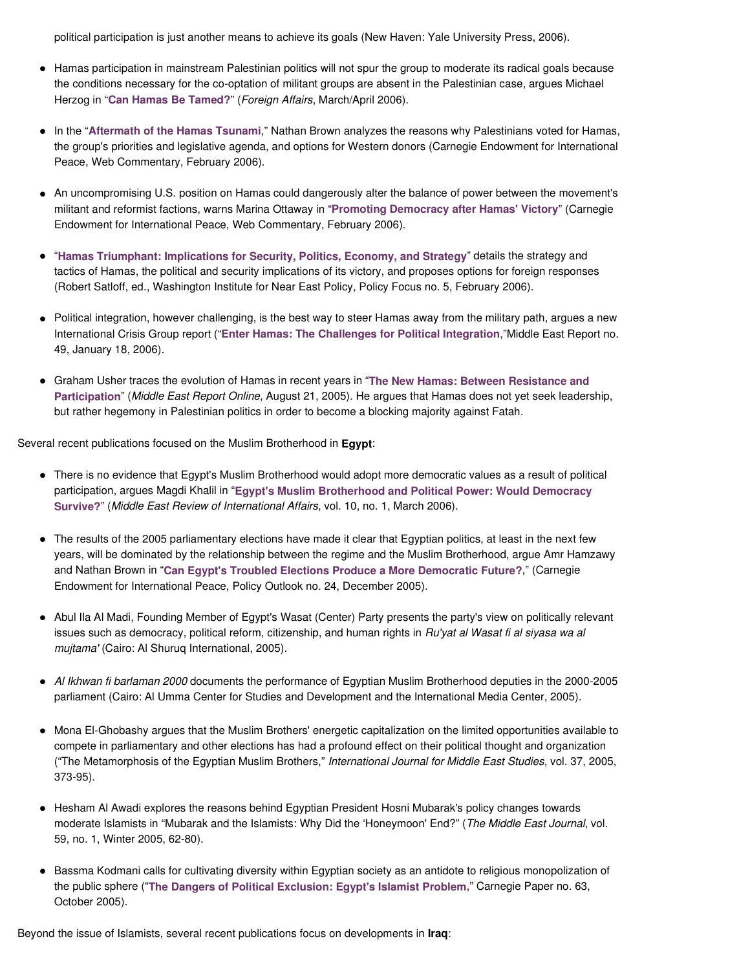political participation is just another means to achieve its goals (New Haven: Yale University Press, 2006).

- Hamas participation in mainstream Palestinian politics will not spur the group to moderate its radical goals because the conditions necessary for the co-optation of militant groups are absent in the Palestinian case, argues Michael Herzog in "**Can Hamas Be Tamed?**" (Foreign Affairs, March/April 2006).
- In the "**Aftermath of the Hamas Tsunami**," Nathan Brown analyzes the reasons why Palestinians voted for Hamas, the group's priorities and legislative agenda, and options for Western donors (Carnegie Endowment for International Peace, Web Commentary, February 2006).
- An uncompromising U.S. position on Hamas could dangerously alter the balance of power between the movement's militant and reformist factions, warns Marina Ottaway in "**Promoting Democracy after Hamas' Victory**" (Carnegie Endowment for International Peace, Web Commentary, February 2006).
- "**Hamas Triumphant: Implications for Security, Politics, Economy, and Strategy**" details the strategy and tactics of Hamas, the political and security implications of its victory, and proposes options for foreign responses (Robert Satloff, ed., Washington Institute for Near East Policy, Policy Focus no. 5, February 2006).
- Political integration, however challenging, is the best way to steer Hamas away from the military path, argues a new International Crisis Group report ("**Enter Hamas: The Challenges for Political Integration**,"Middle East Report no. 49, January 18, 2006).
- Graham Usher traces the evolution of Hamas in recent years in "**The New Hamas: Between Resistance and Participation**" (Middle East Report Online, August 21, 2005). He argues that Hamas does not yet seek leadership, but rather hegemony in Palestinian politics in order to become a blocking majority against Fatah.

Several recent publications focused on the Muslim Brotherhood in **Egypt**:

- There is no evidence that Egypt's Muslim Brotherhood would adopt more democratic values as a result of political participation, argues Magdi Khalil in "**Egypt's Muslim Brotherhood and Political Power: Would Democracy Survive?**" (Middle East Review of International Affairs, vol. 10, no. 1, March 2006).
- The results of the 2005 parliamentary elections have made it clear that Egyptian politics, at least in the next few years, will be dominated by the relationship between the regime and the Muslim Brotherhood, argue Amr Hamzawy and Nathan Brown in "**Can Egypt's Troubled Elections Produce a More Democratic Future?**," (Carnegie Endowment for International Peace, Policy Outlook no. 24, December 2005).
- Abul Ila Al Madi, Founding Member of Egypt's Wasat (Center) Party presents the party's view on politically relevant issues such as democracy, political reform, citizenship, and human rights in Ru'yat al Wasat fi al siyasa wa al mujtama' (Cairo: Al Shuruq International, 2005).
- Al Ikhwan fi barlaman 2000 documents the performance of Egyptian Muslim Brotherhood deputies in the 2000-2005 parliament (Cairo: Al Umma Center for Studies and Development and the International Media Center, 2005).
- Mona El-Ghobashy argues that the Muslim Brothers' energetic capitalization on the limited opportunities available to compete in parliamentary and other elections has had a profound effect on their political thought and organization ("The Metamorphosis of the Egyptian Muslim Brothers," International Journal for Middle East Studies, vol. 37, 2005, 373-95).
- Hesham Al Awadi explores the reasons behind Egyptian President Hosni Mubarak's policy changes towards moderate Islamists in "Mubarak and the Islamists: Why Did the 'Honeymoon' End?" (The Middle East Journal, vol. 59, no. 1, Winter 2005, 62-80).
- Bassma Kodmani calls for cultivating diversity within Egyptian society as an antidote to religious monopolization of the public sphere ("**The Dangers of Political Exclusion: Egypt's Islamist Problem**," Carnegie Paper no. 63, October 2005).

Beyond the issue of Islamists, several recent publications focus on developments in **Iraq**: